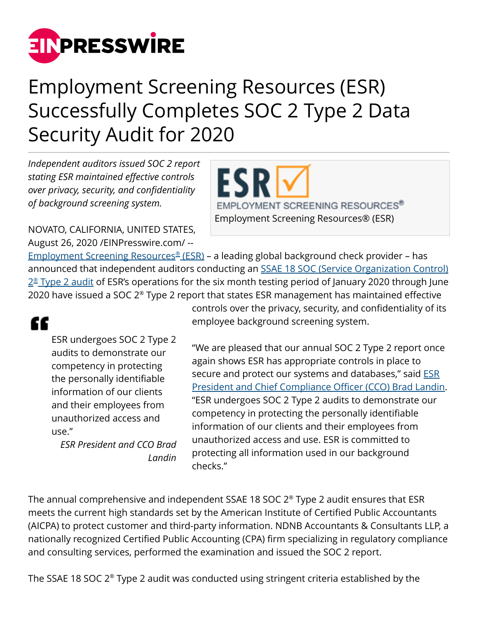

## Employment Screening Resources (ESR) Successfully Completes SOC 2 Type 2 Data Security Audit for 2020

*Independent auditors issued SOC 2 report stating ESR maintained effective controls over privacy, security, and confidentiality of background screening system.*

NOVATO, CALIFORNIA, UNITED STATES, August 26, 2020 /[EINPresswire.com/](http://www.einpresswire.com) --

EMPLOYMENT SCREENING RESOURCES® Employment Screening Resources® (ESR)

[Employment Screening Resources](https://www.esrcheck.com/)[®](https://www.esrcheck.com/) [\(ESR\)](https://www.esrcheck.com/) – a leading global background check provider – has announced that independent auditors conducting an [SSAE 18 SOC \(Service Organization Control\)](https://www.aicpa.org/interestareas/frc/assuranceadvisoryservices/serviceorganization-smanagement.html) <u>[2](https://www.aicpa.org/interestareas/frc/assuranceadvisoryservices/serviceorganization-smanagement.html)[®](https://www.aicpa.org/interestareas/frc/assuranceadvisoryservices/serviceorganization-smanagement.html) Type 2 audit</u> of ESR's operations for the six month testing period of January 2020 through June 2020 have issued a SOC 2® Type 2 report that states ESR management has maintained effective

"

ESR undergoes SOC 2 Type 2 audits to demonstrate our competency in protecting the personally identifiable information of our clients and their employees from unauthorized access and use."

*ESR President and CCO Brad Landin* controls over the privacy, security, and confidentiality of its employee background screening system.

"We are pleased that our annual SOC 2 Type 2 report once again shows ESR has appropriate controls in place to secure and protect our systems and databases," said [ESR](https://www.esrcheck.com/About-ESR/Leadership/BradLandin/index.php) [President and Chief Compliance Officer \(CCO\) Brad Landin.](https://www.esrcheck.com/About-ESR/Leadership/BradLandin/index.php) "ESR undergoes SOC 2 Type 2 audits to demonstrate our competency in protecting the personally identifiable information of our clients and their employees from unauthorized access and use. ESR is committed to protecting all information used in our background checks."

The annual comprehensive and independent SSAE 18 SOC 2® Type 2 audit ensures that ESR meets the current high standards set by the American Institute of Certified Public Accountants (AICPA) to protect customer and third-party information. NDNB Accountants & Consultants LLP, a nationally recognized Certified Public Accounting (CPA) firm specializing in regulatory compliance and consulting services, performed the examination and issued the SOC 2 report.

The SSAE 18 SOC 2® Type 2 audit was conducted using stringent criteria established by the